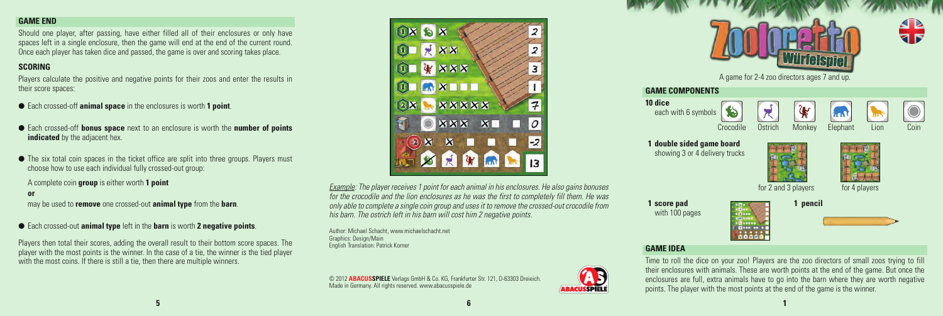### **GAME END**

Should one player, after passing, have either filled all of their enclosures or only have spaces left in a single enclosure, then the game will end at the end of the current round. Once each player has taken dice and passed, the game is over and scoring takes place.

## **SCORING**

Players calculate the positive and negative points for their zoos and enter the results in their score spaces:

- Each crossed-off **animal space** in the enclosures is worth **1 point**.
- **Each crossed-off bonus space** next to an enclosure is worth the **number of points indicated** by the adjacent hex.
- $\bullet$  The six total coin spaces in the ticket office are split into three groups. Players must choose how to use each individual fully crossed-out group:

A complete coin **group** is either worth **1 point**

#### **or**

may be used to **remove** one crossed-out **animal type** from the **barn**.

l Each crossed-out **animal type** left in the **barn** is worth **2 negative points**.

Players then total their scores, adding the overall result to their bottom score spaces. The player with the most points is the winner. In the case of a tie, the winner is the tied player with the most coins. If there is still a tie, then there are multiple winners.



*Example: The player receives 1 point for each animal in his enclosures. He also gains bonuses for the crocodile and the lion enclosures as he was the first to completely fill them. He was only able to complete a single coin group and uses it to remove the crossed-out crocodile from his barn. The ostrich left in his barn will cost him 2 negative points.*

Author: Michael Schacht, www.michaelschacht.net Graphics: Design/Main English Translation: Patrick Korner

© 2012 **ABACUSSPIELE** Verlags GmbH & Co. KG, Frankfurter Str. 121, D-63303 Dreieich. Made in Germany. All rights reserved. www.abacusspiele.de



enclosures are full, extra animals have to go into the barn where they are worth negative points. The player with the most points at the end of the game is the winner.

**5 6 1**